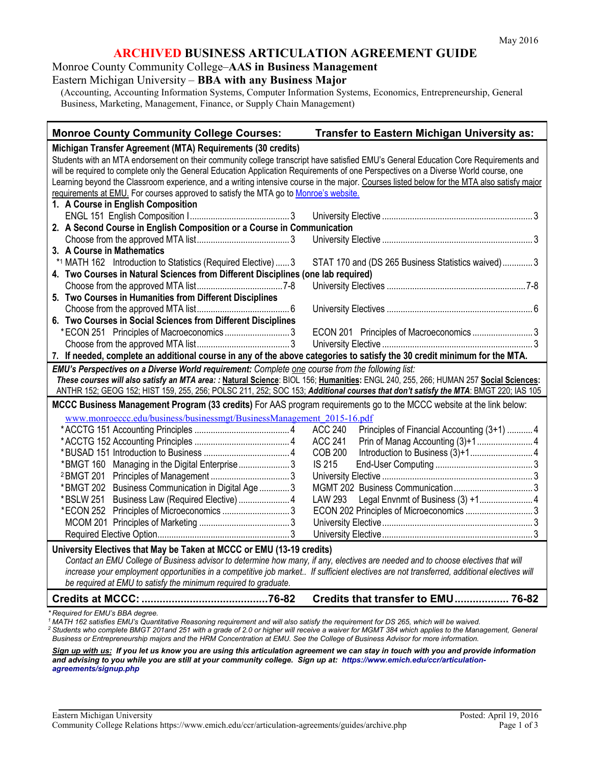#### **ARCHIVED BUSINESS ARTICULATION AGREEMENT GUIDE**

Monroe County Community College–**AAS in Business Management** Eastern Michigan University – **BBA with any Business Major**

(Accounting, Accounting Information Systems, Computer Information Systems, Economics, Entrepreneurship, General Business, Marketing, Management, Finance, or Supply Chain Management)

| <b>Monroe County Community College Courses:</b>                                                                                            | Transfer to Eastern Michigan University as:                   |  |
|--------------------------------------------------------------------------------------------------------------------------------------------|---------------------------------------------------------------|--|
| Michigan Transfer Agreement (MTA) Requirements (30 credits)                                                                                |                                                               |  |
| Students with an MTA endorsement on their community college transcript have satisfied EMU's General Education Core Requirements and        |                                                               |  |
| will be required to complete only the General Education Application Requirements of one Perspectives on a Diverse World course, one        |                                                               |  |
| Learning beyond the Classroom experience, and a writing intensive course in the major. Courses listed below for the MTA also satisfy major |                                                               |  |
| requirements at EMU. For courses approved to satisfy the MTA go to Monroe's website.                                                       |                                                               |  |
| 1. A Course in English Composition                                                                                                         |                                                               |  |
|                                                                                                                                            |                                                               |  |
| 2. A Second Course in English Composition or a Course in Communication                                                                     |                                                               |  |
|                                                                                                                                            |                                                               |  |
| 3. A Course in Mathematics                                                                                                                 |                                                               |  |
| *1 MATH 162 Introduction to Statistics (Required Elective)  3                                                                              | STAT 170 and (DS 265 Business Statistics waived) 3            |  |
| 4. Two Courses in Natural Sciences from Different Disciplines (one lab required)                                                           |                                                               |  |
|                                                                                                                                            |                                                               |  |
| 5. Two Courses in Humanities from Different Disciplines                                                                                    |                                                               |  |
|                                                                                                                                            |                                                               |  |
| 6. Two Courses in Social Sciences from Different Disciplines                                                                               |                                                               |  |
|                                                                                                                                            | ECON 201 Principles of Macroeconomics  3                      |  |
|                                                                                                                                            |                                                               |  |
| 7. If needed, complete an additional course in any of the above categories to satisfy the 30 credit minimum for the MTA.                   |                                                               |  |
| EMU's Perspectives on a Diverse World requirement: Complete one course from the following list:                                            |                                                               |  |
| These courses will also satisfy an MTA area: : Natural Science: BIOL 156; Humanities: ENGL 240, 255, 266; HUMAN 257 Social Sciences:       |                                                               |  |
| ANTHR 152; GEOG 152; HIST 159, 255, 256; POLSC 211, 252; SOC 153; Additional courses that don't satisfy the MTA: BMGT 220; IAS 105         |                                                               |  |
| MCCC Business Management Program (33 credits) For AAS program requirements go to the MCCC website at the link below:                       |                                                               |  |
| www.monroeccc.edu/business/businessmgt/BusinessManagement 2015-16.pdf                                                                      |                                                               |  |
|                                                                                                                                            | <b>ACC 240</b><br>Principles of Financial Accounting (3+1)  4 |  |
|                                                                                                                                            | <b>ACC 241</b>                                                |  |
|                                                                                                                                            | <b>COB 200</b>                                                |  |
| *BMGT 160 Managing in the Digital Enterprise 3                                                                                             | <b>IS 215</b>                                                 |  |
| <sup>2</sup> BMGT 201                                                                                                                      |                                                               |  |
| *BMGT 202 Business Communication in Digital Age  3                                                                                         |                                                               |  |
| Business Law (Required Elective)  4<br>*BSLW 251                                                                                           | LAW 293                                                       |  |
|                                                                                                                                            | ECON 202 Principles of Microeconomics  3                      |  |
|                                                                                                                                            |                                                               |  |
|                                                                                                                                            |                                                               |  |
| University Electives that May be Taken at MCCC or EMU (13-19 credits)                                                                      |                                                               |  |
| Contact an EMU College of Business advisor to determine how many, if any, electives are needed and to choose electives that will           |                                                               |  |
| increase your employment opportunities in a competitive job market If sufficient electives are not transferred, additional electives will  |                                                               |  |
| be required at EMU to satisfy the minimum required to graduate.                                                                            |                                                               |  |
|                                                                                                                                            | Credits that transfer to EMU 76-82                            |  |
| Required for EMU's BBA degree.                                                                                                             |                                                               |  |

*<sup>1</sup> MATH 162 satisfies EMU's Quantitative Reasoning requirement and will also satisfy the requirement for DS 265, which will be waived.*

*<sup>2</sup> Students who complete BMGT 201and 251 with a grade of 2.0 or higher will receive a waiver for MGMT 384 which applies to the Management, General Business or Entrepreneurship majors and the HRM Concentration at EMU. See the College of Business Advisor for more information.* 

*Sign up with us: If you let us know you are using this articulation agreement we can stay in touch with you and provide information and advising to you while you are still at your community college. Sign up at: https://www.emich.edu/ccr/articulationagreements/signup.php*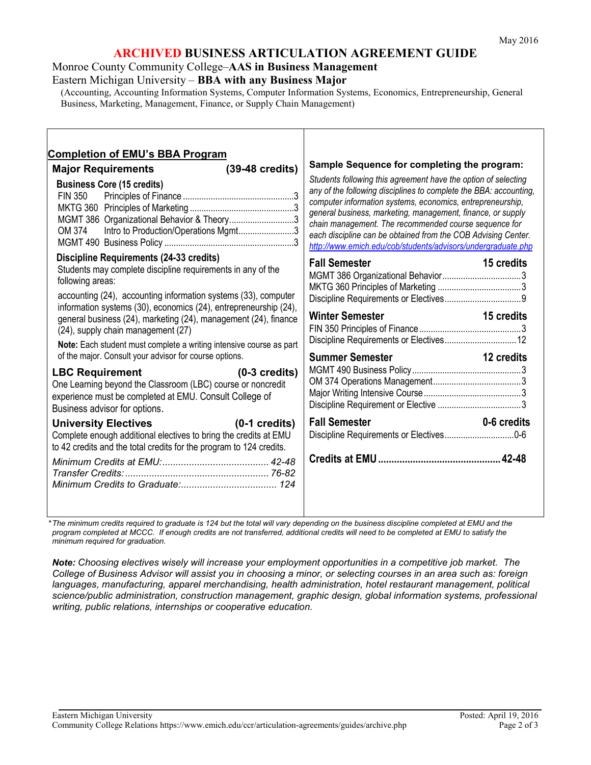# **ARCHIVED BUSINESS ARTICULATION AGREEMENT GUIDE**

Monroe County Community College–**AAS in Business Management** Eastern Michigan University – **BBA with any Business Major**

(Accounting, Accounting Information Systems, Computer Information Systems, Economics, Entrepreneurship, General Business, Marketing, Management, Finance, or Supply Chain Management)

| <b>Completion of EMU's BBA Program</b><br>$(39-48 \text{ credits})$<br><b>Major Requirements</b><br><b>Business Core (15 credits)</b><br><b>FIN 350</b><br>MGMT 386 Organizational Behavior & Theory3<br>Intro to Production/Operations Mgmt3<br>OM 374                                                                                                                                                                                                                                                                                                                                                                                                                                                                                                                                                                                                                                                                  | Sample Sequence for completing the program:<br>Students following this agreement have the option of selecting<br>any of the following disciplines to complete the BBA: accounting,<br>computer information systems, economics, entrepreneurship,<br>general business, marketing, management, finance, or supply<br>chain management. The recommended course sequence for<br>each discipline can be obtained from the COB Advising Center.<br>http://www.emich.edu/cob/students/advisors/undergraduate.php |
|--------------------------------------------------------------------------------------------------------------------------------------------------------------------------------------------------------------------------------------------------------------------------------------------------------------------------------------------------------------------------------------------------------------------------------------------------------------------------------------------------------------------------------------------------------------------------------------------------------------------------------------------------------------------------------------------------------------------------------------------------------------------------------------------------------------------------------------------------------------------------------------------------------------------------|-----------------------------------------------------------------------------------------------------------------------------------------------------------------------------------------------------------------------------------------------------------------------------------------------------------------------------------------------------------------------------------------------------------------------------------------------------------------------------------------------------------|
| Discipline Requirements (24-33 credits)<br>Students may complete discipline requirements in any of the<br>following areas:<br>accounting (24), accounting information systems (33), computer<br>information systems (30), economics (24), entrepreneurship (24),<br>general business (24), marketing (24), management (24), finance<br>(24), supply chain management (27)<br>Note: Each student must complete a writing intensive course as part<br>of the major. Consult your advisor for course options.<br><b>LBC Requirement</b><br>$(0-3 \text{ credits})$<br>One Learning beyond the Classroom (LBC) course or noncredit<br>experience must be completed at EMU. Consult College of<br>Business advisor for options.<br>$(0-1)$ credits)<br><b>University Electives</b><br>Complete enough additional electives to bring the credits at EMU<br>to 42 credits and the total credits for the program to 124 credits. | <b>Fall Semester</b><br>15 credits<br><b>Winter Semester</b><br>15 credits<br>12 credits<br><b>Summer Semester</b><br><b>Fall Semester</b><br>0-6 credits                                                                                                                                                                                                                                                                                                                                                 |

*\*The minimum credits required to graduate is 124 but the total will vary depending on the business discipline completed at EMU and the program completed at MCCC. If enough credits are not transferred, additional credits will need to be completed at EMU to satisfy the minimum required for graduation.*

*Note: Choosing electives wisely will increase your employment opportunities in a competitive job market. The College of Business Advisor will assist you in choosing a minor, or selecting courses in an area such as: foreign languages, manufacturing, apparel merchandising, health administration, hotel restaurant management, political science/public administration, construction management, graphic design, global information systems, professional writing, public relations, internships or cooperative education.*